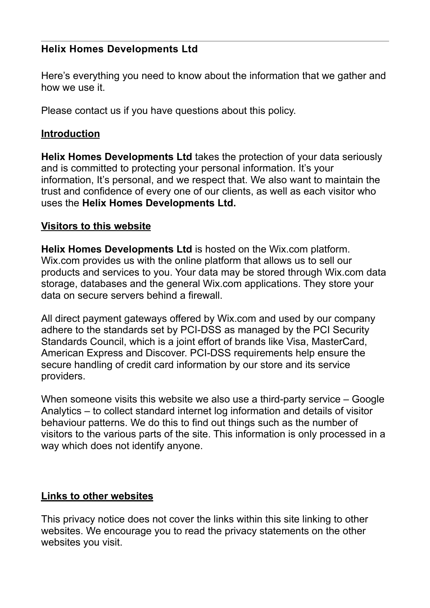## **Helix Homes Developments Ltd**

Here's everything you need to know about the information that we gather and how we use it.

Please contact us if you have questions about this policy.

## **Introduction**

**Helix Homes Developments Ltd** takes the protection of your data seriously and is committed to protecting your personal information. It's your information, It's personal, and we respect that. We also want to maintain the trust and confidence of every one of our clients, as well as each visitor who uses the **Helix Homes Developments Ltd.**

## **Visitors to this website**

**Helix Homes Developments Ltd** is hosted on the Wix.com platform. Wix.com provides us with the online platform that allows us to sell our products and services to you. Your data may be stored through Wix.com data storage, databases and the general Wix.com applications. They store your data on secure servers behind a firewall.

All direct payment gateways offered by Wix.com and used by our company adhere to the standards set by PCI-DSS as managed by the PCI Security Standards Council, which is a joint effort of brands like Visa, MasterCard, American Express and Discover. PCI-DSS requirements help ensure the secure handling of credit card information by our store and its service providers.

When someone visits this website we also use a third-party service – Google Analytics – to collect standard internet log information and details of visitor behaviour patterns. We do this to find out things such as the number of visitors to the various parts of the site. This information is only processed in a way which does not identify anyone.

## **Links to other websites**

This privacy notice does not cover the links within this site linking to other websites. We encourage you to read the privacy statements on the other websites you visit.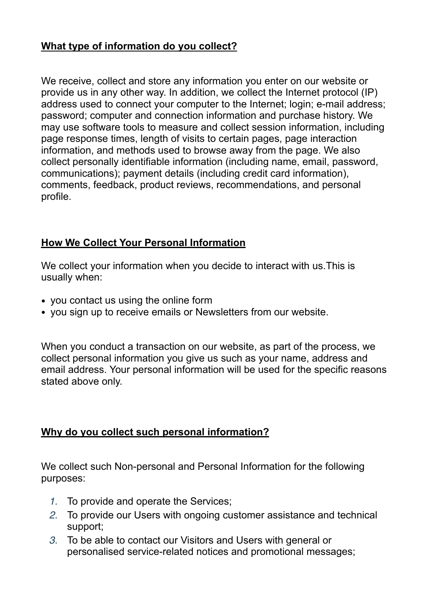## **What type of information do you collect?**

We receive, collect and store any information you enter on our website or provide us in any other way. In addition, we collect the Internet protocol (IP) address used to connect your computer to the Internet; login; e-mail address; password; computer and connection information and purchase history. We may use software tools to measure and collect session information, including page response times, length of visits to certain pages, page interaction information, and methods used to browse away from the page. We also collect personally identifiable information (including name, email, password, communications); payment details (including credit card information), comments, feedback, product reviews, recommendations, and personal profile.

## **How We Collect Your Personal Information**

We collect your information when you decide to interact with us.This is usually when:

- you contact us using the online form
- you sign up to receive emails or Newsletters from our website.

When you conduct a transaction on our website, as part of the process, we collect personal information you give us such as your name, address and email address. Your personal information will be used for the specific reasons stated above only.

## **Why do you collect such personal information?**

We collect such Non-personal and Personal Information for the following purposes:

- *1.* To provide and operate the Services;
- *2.* To provide our Users with ongoing customer assistance and technical support;
- *3.* To be able to contact our Visitors and Users with general or personalised service-related notices and promotional messages;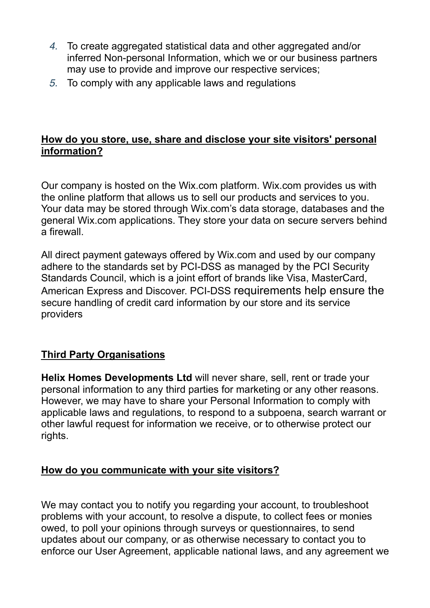- *4.* To create aggregated statistical data and other aggregated and/or inferred Non-personal Information, which we or our business partners may use to provide and improve our respective services;
- *5.* To comply with any applicable laws and regulations

## **How do you store, use, share and disclose your site visitors' personal information?**

Our company is hosted on the Wix.com platform. Wix.com provides us with the online platform that allows us to sell our products and services to you. Your data may be stored through Wix.com's data storage, databases and the general Wix.com applications. They store your data on secure servers behind a firewall.

All direct payment gateways offered by Wix.com and used by our company adhere to the standards set by PCI-DSS as managed by the PCI Security Standards Council, which is a joint effort of brands like Visa, MasterCard, American Express and Discover. PCI-DSS requirements help ensure the secure handling of credit card information by our store and its service providers

## **Third Party Organisations**

**Helix Homes Developments Ltd** will never share, sell, rent or trade your personal information to any third parties for marketing or any other reasons. However, we may have to share your Personal Information to comply with applicable laws and regulations, to respond to a subpoena, search warrant or other lawful request for information we receive, or to otherwise protect our rights.

## **How do you communicate with your site visitors?**

We may contact you to notify you regarding your account, to troubleshoot problems with your account, to resolve a dispute, to collect fees or monies owed, to poll your opinions through surveys or questionnaires, to send updates about our company, or as otherwise necessary to contact you to enforce our User Agreement, applicable national laws, and any agreement we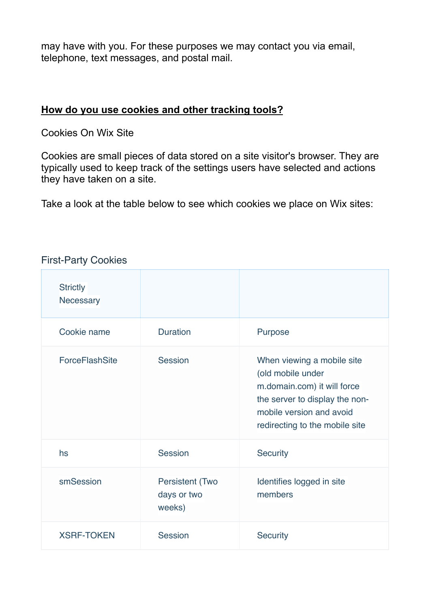may have with you. For these purposes we may contact you via email, telephone, text messages, and postal mail.

## **How do you use cookies and other tracking tools?**

Cookies On Wix Site

Cookies are small pieces of data stored on a site visitor's browser. They are typically used to keep track of the settings users have selected and actions they have taken on a site.

Take a look at the table below to see which cookies we place on Wix sites:

| <b>Strictly</b><br>Necessary |                                                 |                                                                                                                                                                                |
|------------------------------|-------------------------------------------------|--------------------------------------------------------------------------------------------------------------------------------------------------------------------------------|
| Cookie name                  | <b>Duration</b>                                 | Purpose                                                                                                                                                                        |
| ForceFlashSite               | Session                                         | When viewing a mobile site<br>(old mobile under<br>m.domain.com) it will force<br>the server to display the non-<br>mobile version and avoid<br>redirecting to the mobile site |
| hs                           | <b>Session</b>                                  | <b>Security</b>                                                                                                                                                                |
| smSession                    | <b>Persistent (Two</b><br>days or two<br>weeks) | Identifies logged in site<br>members                                                                                                                                           |
| <b>XSRF-TOKEN</b>            | <b>Session</b>                                  | <b>Security</b>                                                                                                                                                                |

## First-Party Cookies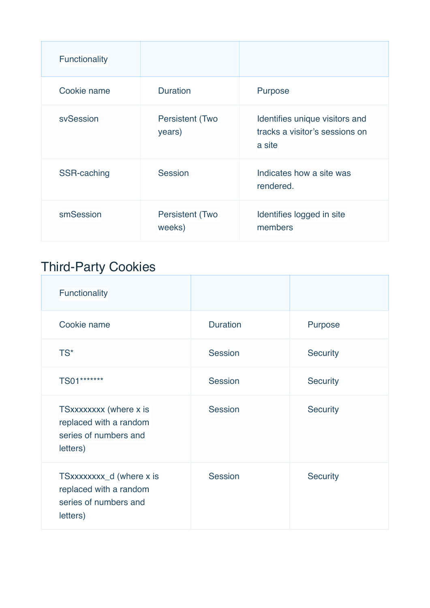| Functionality |                                  |                                                                            |
|---------------|----------------------------------|----------------------------------------------------------------------------|
| Cookie name   | <b>Duration</b>                  | Purpose                                                                    |
| sySession     | <b>Persistent (Two</b><br>years) | Identifies unique visitors and<br>tracks a visitor's sessions on<br>a site |
| SSR-caching   | <b>Session</b>                   | Indicates how a site was<br>rendered.                                      |
| smSession     | <b>Persistent (Two</b><br>weeks) | Identifies logged in site<br>members                                       |

# Third-Party Cookies

| Functionality                                                                           |                 |                 |
|-----------------------------------------------------------------------------------------|-----------------|-----------------|
| Cookie name                                                                             | <b>Duration</b> | Purpose         |
| TS*                                                                                     | Session         | <b>Security</b> |
| TS01*******                                                                             | <b>Session</b>  | <b>Security</b> |
| TSxxxxxxxx (where x is<br>replaced with a random<br>series of numbers and<br>letters)   | Session         | <b>Security</b> |
| TSxxxxxxxx_d (where x is<br>replaced with a random<br>series of numbers and<br>letters) | Session         | <b>Security</b> |